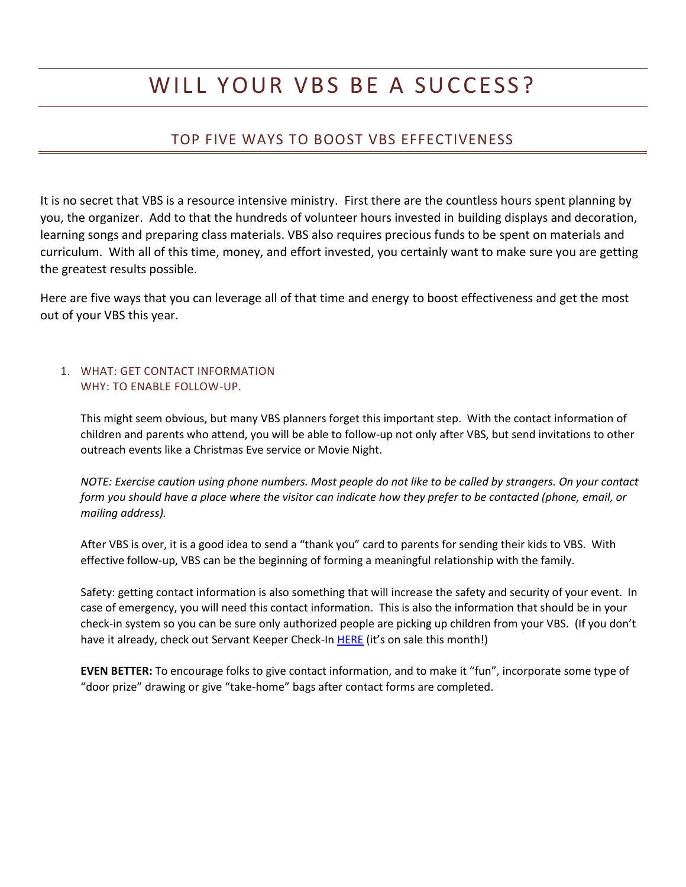# WILL YOUR VBS BE A SUCCESS?

## TOP FIVE WAYS TO BOOST VBS EFFECTIVENESS

It is no secret that VBS is a resource intensive ministry. First there are the countless hours spent planning by you, the organizer. Add to that the hundreds of volunteer hours invested in building displays and decoration, learning songs and preparing class materials. VBS also requires precious funds to be spent on materials and curriculum. With all of this time, money, and effort invested, you certainly want to make sure you are getting the greatest results possible.

Here are five ways that you can leverage all of that time and energy to boost effectiveness and get the most out of your VBS this year.

### 1. WHAT: GET CONTACT INFORMATION WHY: TO ENABLE FOLLOW-UP.

This might seem obvious, but many VBS planners forget this important step. With the contact information of children and parents who attend, you will be able to follow-up not only after VBS, but send invitations to other outreach events like a Christmas Eve service or Movie Night.

*NOTE: Exercise caution using phone numbers. Most people do not like to be called by strangers. On your contact form you should have a place where the visitor can indicate how they prefer to be contacted (phone, email, or mailing address).* 

After VBS is over, it is a good idea to send a "thank you" card to parents for sending their kids to VBS. With effective follow-up, VBS can be the beginning of forming a meaningful relationship with the family.

Safety: getting contact information is also something that will increase the safety and security of your event. In case of emergency, you will need this contact information. This is also the information that should be in your check-in system so you can be sure only authorized people are picking up children from your VBS. (If you don't have it already, check out Servant Keeper Check-In [HERE](http://servantpc.com/servantkeeper/sk_checkin.php) (it's on sale this month!)

**EVEN BETTER:** To encourage folks to give contact information, and to make it "fun", incorporate some type of "door prize" drawing or give "take-home" bags after contact forms are completed.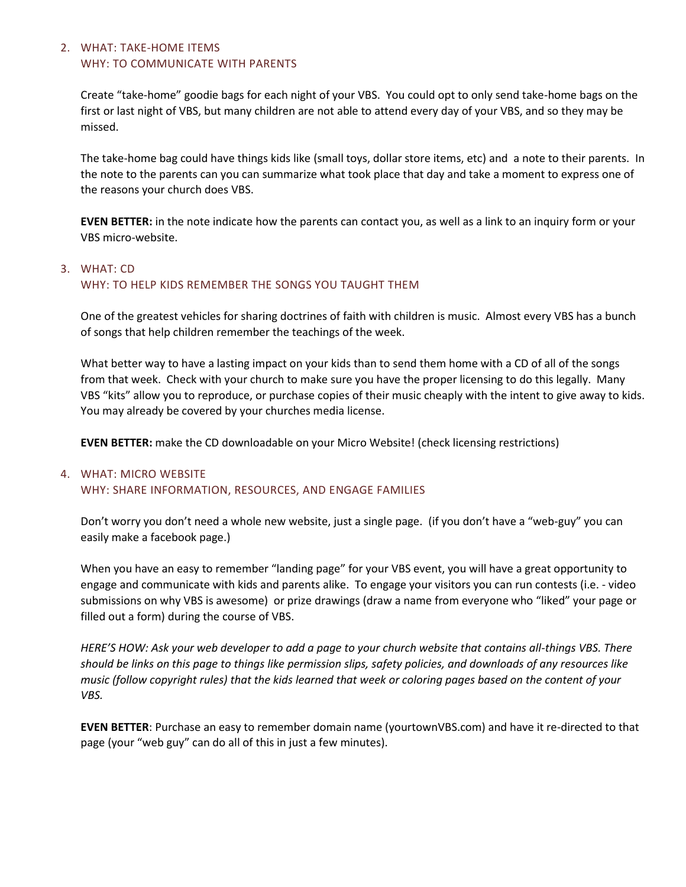#### 2. WHAT: TAKE-HOME ITEMS WHY: TO COMMUNICATE WITH PARENTS

Create "take-home" goodie bags for each night of your VBS. You could opt to only send take-home bags on the first or last night of VBS, but many children are not able to attend every day of your VBS, and so they may be missed.

The take-home bag could have things kids like (small toys, dollar store items, etc) and a note to their parents. In the note to the parents can you can summarize what took place that day and take a moment to express one of the reasons your church does VBS.

**EVEN BETTER:** in the note indicate how the parents can contact you, as well as a link to an inquiry form or your VBS micro-website.

## 3. WHAT: CD WHY: TO HELP KIDS REMEMBER THE SONGS YOU TAUGHT THEM

One of the greatest vehicles for sharing doctrines of faith with children is music. Almost every VBS has a bunch of songs that help children remember the teachings of the week.

What better way to have a lasting impact on your kids than to send them home with a CD of all of the songs from that week. Check with your church to make sure you have the proper licensing to do this legally. Many VBS "kits" allow you to reproduce, or purchase copies of their music cheaply with the intent to give away to kids. You may already be covered by your churches media license.

**EVEN BETTER:** make the CD downloadable on your Micro Website! (check licensing restrictions)

## 4. WHAT: MICRO WEBSITE WHY: SHARE INFORMATION, RESOURCES, AND ENGAGE FAMILIES

Don't worry you don't need a whole new website, just a single page. (if you don't have a "web-guy" you can easily make a facebook page.)

When you have an easy to remember "landing page" for your VBS event, you will have a great opportunity to engage and communicate with kids and parents alike. To engage your visitors you can run contests (i.e. - video submissions on why VBS is awesome) or prize drawings (draw a name from everyone who "liked" your page or filled out a form) during the course of VBS.

*HERE'S HOW: Ask your web developer to add a page to your church website that contains all-things VBS. There should be links on this page to things like permission slips, safety policies, and downloads of any resources like music (follow copyright rules) that the kids learned that week or coloring pages based on the content of your VBS.*

**EVEN BETTER**: Purchase an easy to remember domain name (yourtownVBS.com) and have it re-directed to that page (your "web guy" can do all of this in just a few minutes).